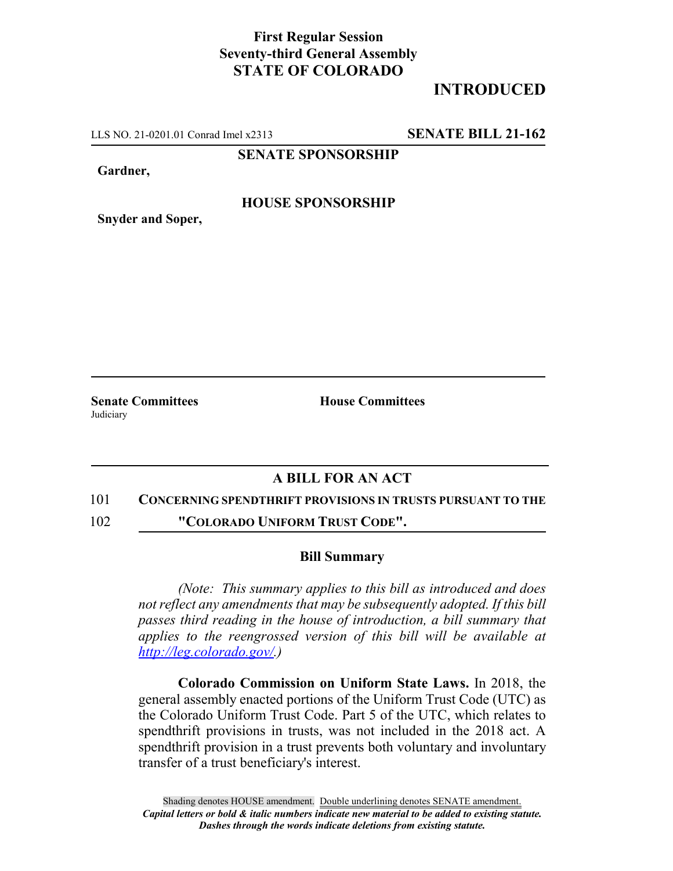# **First Regular Session Seventy-third General Assembly STATE OF COLORADO**

# **INTRODUCED**

LLS NO. 21-0201.01 Conrad Imel x2313 **SENATE BILL 21-162**

**SENATE SPONSORSHIP**

**Gardner,**

## **HOUSE SPONSORSHIP**

**Snyder and Soper,**

**Judiciary** 

**Senate Committees House Committees** 

## **A BILL FOR AN ACT**

#### 101 **CONCERNING SPENDTHRIFT PROVISIONS IN TRUSTS PURSUANT TO THE**

102 **"COLORADO UNIFORM TRUST CODE".**

### **Bill Summary**

*(Note: This summary applies to this bill as introduced and does not reflect any amendments that may be subsequently adopted. If this bill passes third reading in the house of introduction, a bill summary that applies to the reengrossed version of this bill will be available at http://leg.colorado.gov/.)*

**Colorado Commission on Uniform State Laws.** In 2018, the general assembly enacted portions of the Uniform Trust Code (UTC) as the Colorado Uniform Trust Code. Part 5 of the UTC, which relates to spendthrift provisions in trusts, was not included in the 2018 act. A spendthrift provision in a trust prevents both voluntary and involuntary transfer of a trust beneficiary's interest.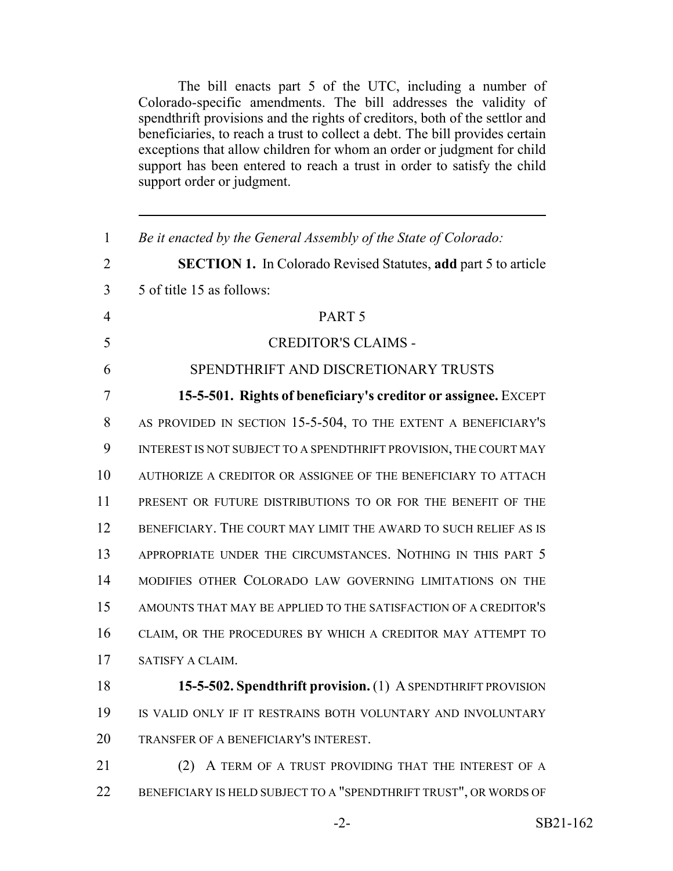The bill enacts part 5 of the UTC, including a number of Colorado-specific amendments. The bill addresses the validity of spendthrift provisions and the rights of creditors, both of the settlor and beneficiaries, to reach a trust to collect a debt. The bill provides certain exceptions that allow children for whom an order or judgment for child support has been entered to reach a trust in order to satisfy the child support order or judgment.

| 1              | Be it enacted by the General Assembly of the State of Colorado:       |
|----------------|-----------------------------------------------------------------------|
| $\overline{2}$ | <b>SECTION 1.</b> In Colorado Revised Statutes, add part 5 to article |
| 3              | 5 of title 15 as follows:                                             |
| $\overline{4}$ | PART <sub>5</sub>                                                     |
| 5              | <b>CREDITOR'S CLAIMS -</b>                                            |
| 6              | SPENDTHRIFT AND DISCRETIONARY TRUSTS                                  |
| 7              | 15-5-501. Rights of beneficiary's creditor or assignee. EXCEPT        |
| 8              | AS PROVIDED IN SECTION 15-5-504, TO THE EXTENT A BENEFICIARY'S        |
| 9              | INTEREST IS NOT SUBJECT TO A SPENDTHRIFT PROVISION, THE COURT MAY     |
| 10             | AUTHORIZE A CREDITOR OR ASSIGNEE OF THE BENEFICIARY TO ATTACH         |
| 11             | PRESENT OR FUTURE DISTRIBUTIONS TO OR FOR THE BENEFIT OF THE          |
| 12             | BENEFICIARY. THE COURT MAY LIMIT THE AWARD TO SUCH RELIEF AS IS       |
| 13             | APPROPRIATE UNDER THE CIRCUMSTANCES. NOTHING IN THIS PART 5           |
| 14             | MODIFIES OTHER COLORADO LAW GOVERNING LIMITATIONS ON THE              |
| 15             | AMOUNTS THAT MAY BE APPLIED TO THE SATISFACTION OF A CREDITOR'S       |
| 16             | CLAIM, OR THE PROCEDURES BY WHICH A CREDITOR MAY ATTEMPT TO           |
| 17             | SATISFY A CLAIM.                                                      |
| 18             | 15-5-502. Spendthrift provision. (1) A SPENDTHRIFT PROVISION          |
| 19             | IS VALID ONLY IF IT RESTRAINS BOTH VOLUNTARY AND INVOLUNTARY          |
| 20             | TRANSFER OF A BENEFICIARY'S INTEREST.                                 |
| 21             | A TERM OF A TRUST PROVIDING THAT THE INTEREST OF A<br>(2)             |
| 22             | BENEFICIARY IS HELD SUBJECT TO A "SPENDTHRIFT TRUST", OR WORDS OF     |
|                |                                                                       |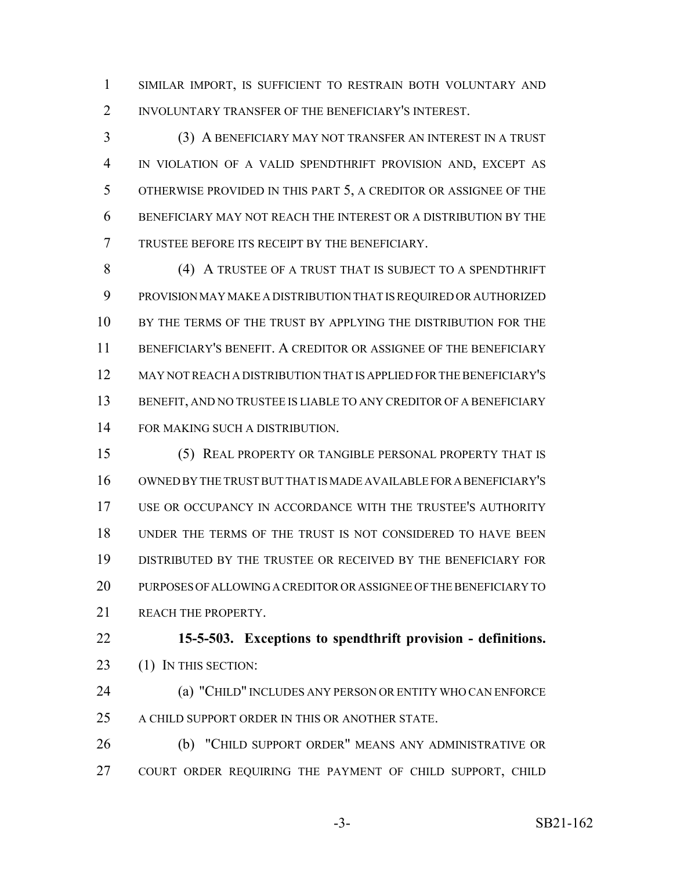SIMILAR IMPORT, IS SUFFICIENT TO RESTRAIN BOTH VOLUNTARY AND INVOLUNTARY TRANSFER OF THE BENEFICIARY'S INTEREST.

 (3) A BENEFICIARY MAY NOT TRANSFER AN INTEREST IN A TRUST IN VIOLATION OF A VALID SPENDTHRIFT PROVISION AND, EXCEPT AS OTHERWISE PROVIDED IN THIS PART 5, A CREDITOR OR ASSIGNEE OF THE BENEFICIARY MAY NOT REACH THE INTEREST OR A DISTRIBUTION BY THE TRUSTEE BEFORE ITS RECEIPT BY THE BENEFICIARY.

8 (4) A TRUSTEE OF A TRUST THAT IS SUBJECT TO A SPENDTHRIFT PROVISION MAY MAKE A DISTRIBUTION THAT IS REQUIRED OR AUTHORIZED BY THE TERMS OF THE TRUST BY APPLYING THE DISTRIBUTION FOR THE BENEFICIARY'S BENEFIT. A CREDITOR OR ASSIGNEE OF THE BENEFICIARY MAY NOT REACH A DISTRIBUTION THAT IS APPLIED FOR THE BENEFICIARY'S BENEFIT, AND NO TRUSTEE IS LIABLE TO ANY CREDITOR OF A BENEFICIARY FOR MAKING SUCH A DISTRIBUTION.

 (5) REAL PROPERTY OR TANGIBLE PERSONAL PROPERTY THAT IS OWNED BY THE TRUST BUT THAT IS MADE AVAILABLE FOR A BENEFICIARY'S USE OR OCCUPANCY IN ACCORDANCE WITH THE TRUSTEE'S AUTHORITY UNDER THE TERMS OF THE TRUST IS NOT CONSIDERED TO HAVE BEEN DISTRIBUTED BY THE TRUSTEE OR RECEIVED BY THE BENEFICIARY FOR PURPOSES OF ALLOWING A CREDITOR OR ASSIGNEE OF THE BENEFICIARY TO 21 REACH THE PROPERTY.

 **15-5-503. Exceptions to spendthrift provision - definitions.** 23 (1) IN THIS SECTION:

 (a) "CHILD" INCLUDES ANY PERSON OR ENTITY WHO CAN ENFORCE 25 A CHILD SUPPORT ORDER IN THIS OR ANOTHER STATE.

 (b) "CHILD SUPPORT ORDER" MEANS ANY ADMINISTRATIVE OR COURT ORDER REQUIRING THE PAYMENT OF CHILD SUPPORT, CHILD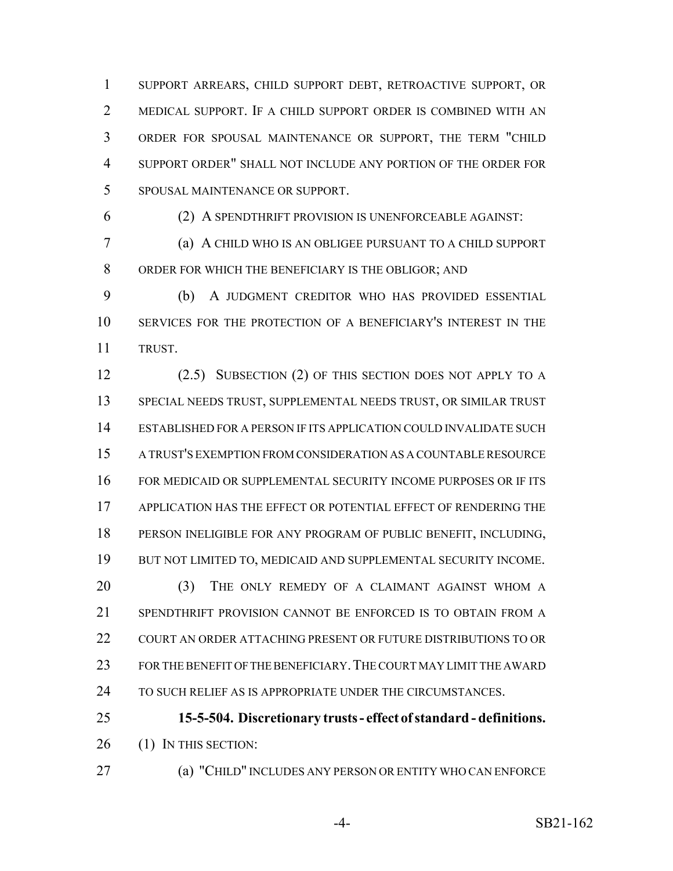SUPPORT ARREARS, CHILD SUPPORT DEBT, RETROACTIVE SUPPORT, OR MEDICAL SUPPORT. IF A CHILD SUPPORT ORDER IS COMBINED WITH AN ORDER FOR SPOUSAL MAINTENANCE OR SUPPORT, THE TERM "CHILD SUPPORT ORDER" SHALL NOT INCLUDE ANY PORTION OF THE ORDER FOR SPOUSAL MAINTENANCE OR SUPPORT.

(2) A SPENDTHRIFT PROVISION IS UNENFORCEABLE AGAINST:

 (a) A CHILD WHO IS AN OBLIGEE PURSUANT TO A CHILD SUPPORT ORDER FOR WHICH THE BENEFICIARY IS THE OBLIGOR; AND

 (b) A JUDGMENT CREDITOR WHO HAS PROVIDED ESSENTIAL SERVICES FOR THE PROTECTION OF A BENEFICIARY'S INTEREST IN THE TRUST.

 (2.5) SUBSECTION (2) OF THIS SECTION DOES NOT APPLY TO A SPECIAL NEEDS TRUST, SUPPLEMENTAL NEEDS TRUST, OR SIMILAR TRUST ESTABLISHED FOR A PERSON IF ITS APPLICATION COULD INVALIDATE SUCH A TRUST'S EXEMPTION FROM CONSIDERATION AS A COUNTABLE RESOURCE FOR MEDICAID OR SUPPLEMENTAL SECURITY INCOME PURPOSES OR IF ITS APPLICATION HAS THE EFFECT OR POTENTIAL EFFECT OF RENDERING THE PERSON INELIGIBLE FOR ANY PROGRAM OF PUBLIC BENEFIT, INCLUDING, BUT NOT LIMITED TO, MEDICAID AND SUPPLEMENTAL SECURITY INCOME. 20 (3) THE ONLY REMEDY OF A CLAIMANT AGAINST WHOM A SPENDTHRIFT PROVISION CANNOT BE ENFORCED IS TO OBTAIN FROM A COURT AN ORDER ATTACHING PRESENT OR FUTURE DISTRIBUTIONS TO OR FOR THE BENEFIT OF THE BENEFICIARY.THE COURT MAY LIMIT THE AWARD 24 TO SUCH RELIEF AS IS APPROPRIATE UNDER THE CIRCUMSTANCES.

 **15-5-504. Discretionary trusts - effect of standard - definitions.** 26 (1) IN THIS SECTION:

(a) "CHILD" INCLUDES ANY PERSON OR ENTITY WHO CAN ENFORCE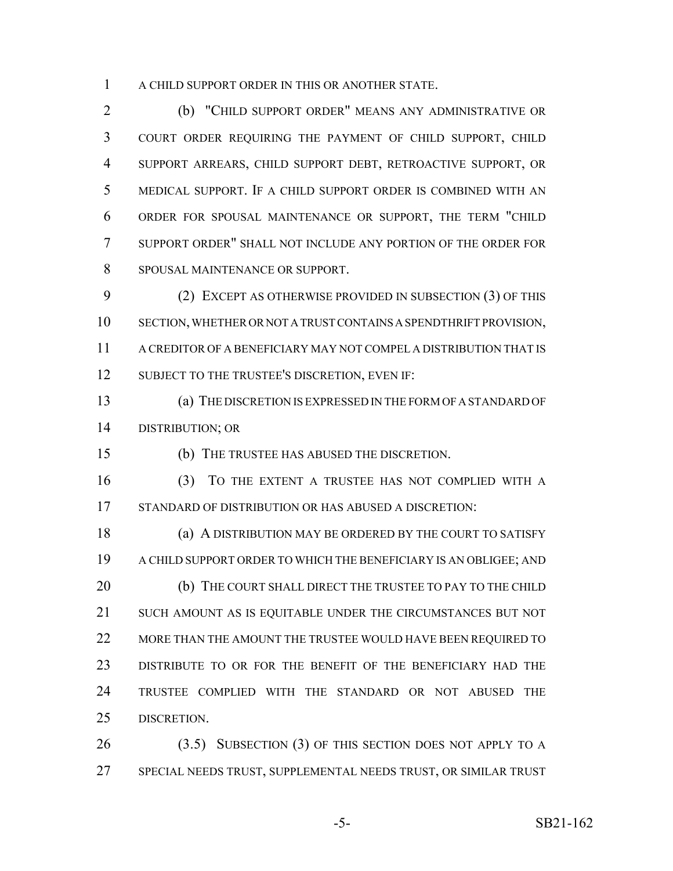A CHILD SUPPORT ORDER IN THIS OR ANOTHER STATE.

 (b) "CHILD SUPPORT ORDER" MEANS ANY ADMINISTRATIVE OR COURT ORDER REQUIRING THE PAYMENT OF CHILD SUPPORT, CHILD SUPPORT ARREARS, CHILD SUPPORT DEBT, RETROACTIVE SUPPORT, OR MEDICAL SUPPORT. IF A CHILD SUPPORT ORDER IS COMBINED WITH AN ORDER FOR SPOUSAL MAINTENANCE OR SUPPORT, THE TERM "CHILD SUPPORT ORDER" SHALL NOT INCLUDE ANY PORTION OF THE ORDER FOR SPOUSAL MAINTENANCE OR SUPPORT.

 (2) EXCEPT AS OTHERWISE PROVIDED IN SUBSECTION (3) OF THIS SECTION, WHETHER OR NOT A TRUST CONTAINS A SPENDTHRIFT PROVISION, A CREDITOR OF A BENEFICIARY MAY NOT COMPEL A DISTRIBUTION THAT IS 12 SUBJECT TO THE TRUSTEE'S DISCRETION, EVEN IF:

 (a) THE DISCRETION IS EXPRESSED IN THE FORM OF A STANDARD OF DISTRIBUTION; OR

(b) THE TRUSTEE HAS ABUSED THE DISCRETION.

 (3) TO THE EXTENT A TRUSTEE HAS NOT COMPLIED WITH A STANDARD OF DISTRIBUTION OR HAS ABUSED A DISCRETION:

 (a) A DISTRIBUTION MAY BE ORDERED BY THE COURT TO SATISFY A CHILD SUPPORT ORDER TO WHICH THE BENEFICIARY IS AN OBLIGEE; AND 20 (b) THE COURT SHALL DIRECT THE TRUSTEE TO PAY TO THE CHILD SUCH AMOUNT AS IS EQUITABLE UNDER THE CIRCUMSTANCES BUT NOT 22 MORE THAN THE AMOUNT THE TRUSTEE WOULD HAVE BEEN REQUIRED TO DISTRIBUTE TO OR FOR THE BENEFIT OF THE BENEFICIARY HAD THE TRUSTEE COMPLIED WITH THE STANDARD OR NOT ABUSED THE DISCRETION.

 (3.5) SUBSECTION (3) OF THIS SECTION DOES NOT APPLY TO A SPECIAL NEEDS TRUST, SUPPLEMENTAL NEEDS TRUST, OR SIMILAR TRUST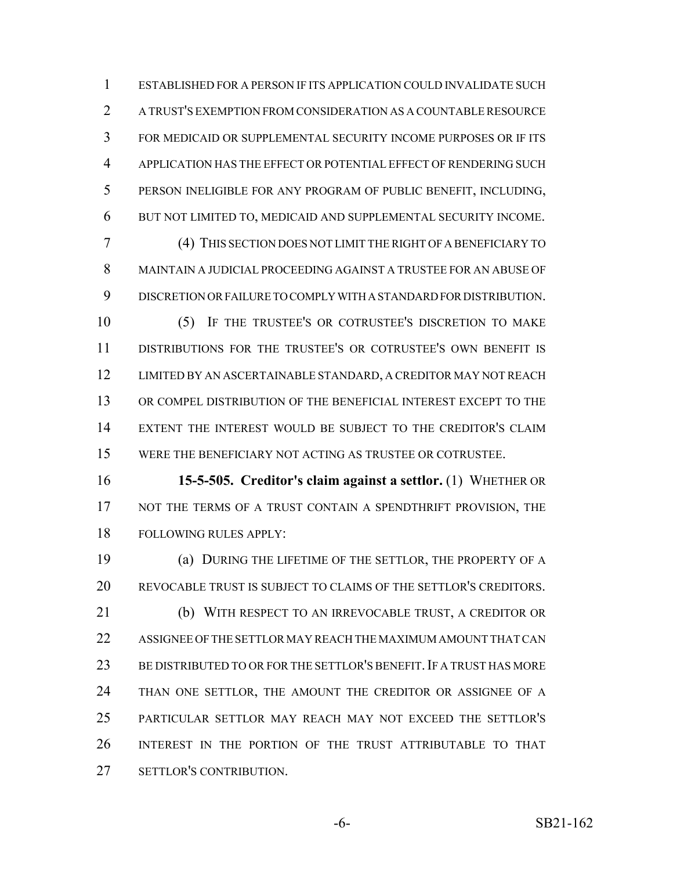ESTABLISHED FOR A PERSON IF ITS APPLICATION COULD INVALIDATE SUCH A TRUST'S EXEMPTION FROM CONSIDERATION AS A COUNTABLE RESOURCE FOR MEDICAID OR SUPPLEMENTAL SECURITY INCOME PURPOSES OR IF ITS APPLICATION HAS THE EFFECT OR POTENTIAL EFFECT OF RENDERING SUCH PERSON INELIGIBLE FOR ANY PROGRAM OF PUBLIC BENEFIT, INCLUDING, BUT NOT LIMITED TO, MEDICAID AND SUPPLEMENTAL SECURITY INCOME.

 (4) THIS SECTION DOES NOT LIMIT THE RIGHT OF A BENEFICIARY TO MAINTAIN A JUDICIAL PROCEEDING AGAINST A TRUSTEE FOR AN ABUSE OF DISCRETION OR FAILURE TO COMPLY WITH A STANDARD FOR DISTRIBUTION.

 (5) IF THE TRUSTEE'S OR COTRUSTEE'S DISCRETION TO MAKE DISTRIBUTIONS FOR THE TRUSTEE'S OR COTRUSTEE'S OWN BENEFIT IS LIMITED BY AN ASCERTAINABLE STANDARD, A CREDITOR MAY NOT REACH OR COMPEL DISTRIBUTION OF THE BENEFICIAL INTEREST EXCEPT TO THE EXTENT THE INTEREST WOULD BE SUBJECT TO THE CREDITOR'S CLAIM WERE THE BENEFICIARY NOT ACTING AS TRUSTEE OR COTRUSTEE.

 **15-5-505. Creditor's claim against a settlor.** (1) WHETHER OR 17 NOT THE TERMS OF A TRUST CONTAIN A SPENDTHRIFT PROVISION, THE FOLLOWING RULES APPLY:

 (a) DURING THE LIFETIME OF THE SETTLOR, THE PROPERTY OF A REVOCABLE TRUST IS SUBJECT TO CLAIMS OF THE SETTLOR'S CREDITORS. (b) WITH RESPECT TO AN IRREVOCABLE TRUST, A CREDITOR OR ASSIGNEE OF THE SETTLOR MAY REACH THE MAXIMUM AMOUNT THAT CAN 23 BE DISTRIBUTED TO OR FOR THE SETTLOR'S BENEFIT. IF A TRUST HAS MORE 24 THAN ONE SETTLOR, THE AMOUNT THE CREDITOR OR ASSIGNEE OF A PARTICULAR SETTLOR MAY REACH MAY NOT EXCEED THE SETTLOR'S INTEREST IN THE PORTION OF THE TRUST ATTRIBUTABLE TO THAT SETTLOR'S CONTRIBUTION.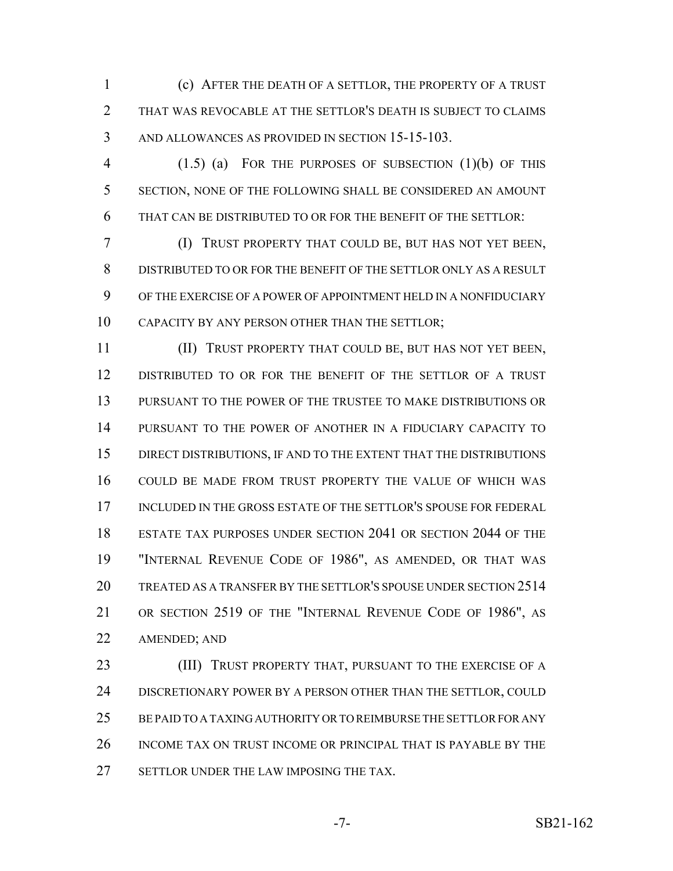(c) AFTER THE DEATH OF A SETTLOR, THE PROPERTY OF A TRUST THAT WAS REVOCABLE AT THE SETTLOR'S DEATH IS SUBJECT TO CLAIMS AND ALLOWANCES AS PROVIDED IN SECTION 15-15-103.

 (1.5) (a) FOR THE PURPOSES OF SUBSECTION (1)(b) OF THIS SECTION, NONE OF THE FOLLOWING SHALL BE CONSIDERED AN AMOUNT THAT CAN BE DISTRIBUTED TO OR FOR THE BENEFIT OF THE SETTLOR:

 (I) TRUST PROPERTY THAT COULD BE, BUT HAS NOT YET BEEN, DISTRIBUTED TO OR FOR THE BENEFIT OF THE SETTLOR ONLY AS A RESULT OF THE EXERCISE OF A POWER OF APPOINTMENT HELD IN A NONFIDUCIARY CAPACITY BY ANY PERSON OTHER THAN THE SETTLOR;

 (II) TRUST PROPERTY THAT COULD BE, BUT HAS NOT YET BEEN, DISTRIBUTED TO OR FOR THE BENEFIT OF THE SETTLOR OF A TRUST PURSUANT TO THE POWER OF THE TRUSTEE TO MAKE DISTRIBUTIONS OR PURSUANT TO THE POWER OF ANOTHER IN A FIDUCIARY CAPACITY TO DIRECT DISTRIBUTIONS, IF AND TO THE EXTENT THAT THE DISTRIBUTIONS COULD BE MADE FROM TRUST PROPERTY THE VALUE OF WHICH WAS INCLUDED IN THE GROSS ESTATE OF THE SETTLOR'S SPOUSE FOR FEDERAL ESTATE TAX PURPOSES UNDER SECTION 2041 OR SECTION 2044 OF THE "INTERNAL REVENUE CODE OF 1986", AS AMENDED, OR THAT WAS TREATED AS A TRANSFER BY THE SETTLOR'S SPOUSE UNDER SECTION 2514 OR SECTION 2519 OF THE "INTERNAL REVENUE CODE OF 1986", AS AMENDED; AND

**(III) TRUST PROPERTY THAT, PURSUANT TO THE EXERCISE OF A** 24 DISCRETIONARY POWER BY A PERSON OTHER THAN THE SETTLOR, COULD BE PAID TO A TAXING AUTHORITY OR TO REIMBURSE THE SETTLOR FOR ANY INCOME TAX ON TRUST INCOME OR PRINCIPAL THAT IS PAYABLE BY THE 27 SETTLOR UNDER THE LAW IMPOSING THE TAX.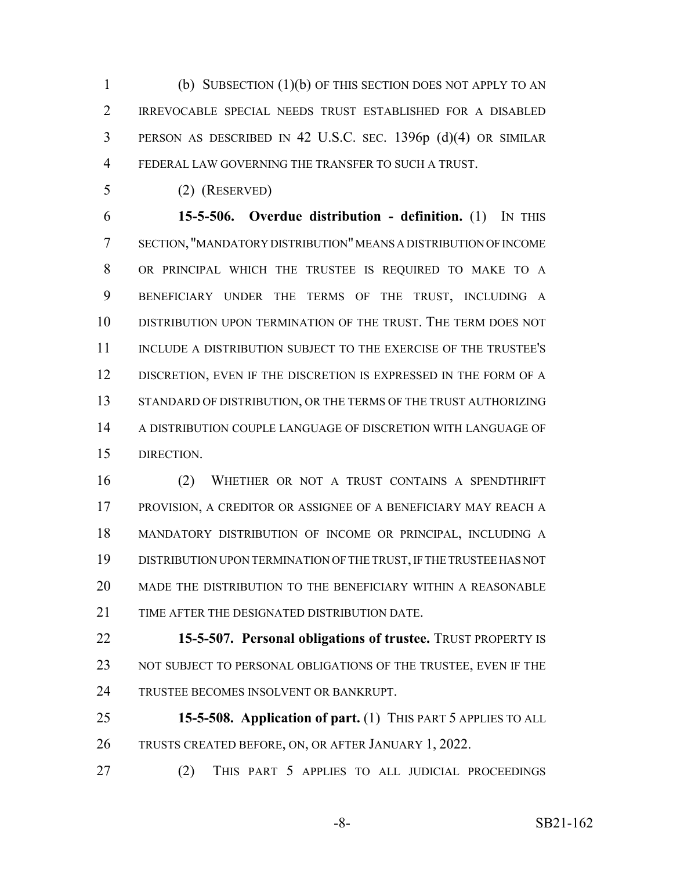(b) SUBSECTION (1)(b) OF THIS SECTION DOES NOT APPLY TO AN IRREVOCABLE SPECIAL NEEDS TRUST ESTABLISHED FOR A DISABLED PERSON AS DESCRIBED IN 42 U.S.C. SEC. 1396p (d)(4) OR SIMILAR FEDERAL LAW GOVERNING THE TRANSFER TO SUCH A TRUST.

(2) (RESERVED)

 **15-5-506. Overdue distribution - definition.** (1) IN THIS SECTION, "MANDATORY DISTRIBUTION" MEANS A DISTRIBUTION OF INCOME OR PRINCIPAL WHICH THE TRUSTEE IS REQUIRED TO MAKE TO A BENEFICIARY UNDER THE TERMS OF THE TRUST, INCLUDING A DISTRIBUTION UPON TERMINATION OF THE TRUST. THE TERM DOES NOT INCLUDE A DISTRIBUTION SUBJECT TO THE EXERCISE OF THE TRUSTEE'S 12 DISCRETION, EVEN IF THE DISCRETION IS EXPRESSED IN THE FORM OF A STANDARD OF DISTRIBUTION, OR THE TERMS OF THE TRUST AUTHORIZING A DISTRIBUTION COUPLE LANGUAGE OF DISCRETION WITH LANGUAGE OF DIRECTION.

 (2) WHETHER OR NOT A TRUST CONTAINS A SPENDTHRIFT PROVISION, A CREDITOR OR ASSIGNEE OF A BENEFICIARY MAY REACH A MANDATORY DISTRIBUTION OF INCOME OR PRINCIPAL, INCLUDING A DISTRIBUTION UPON TERMINATION OF THE TRUST, IF THE TRUSTEE HAS NOT MADE THE DISTRIBUTION TO THE BENEFICIARY WITHIN A REASONABLE TIME AFTER THE DESIGNATED DISTRIBUTION DATE.

 **15-5-507. Personal obligations of trustee.** TRUST PROPERTY IS 23 NOT SUBJECT TO PERSONAL OBLIGATIONS OF THE TRUSTEE, EVEN IF THE TRUSTEE BECOMES INSOLVENT OR BANKRUPT.

 **15-5-508. Application of part.** (1) THIS PART 5 APPLIES TO ALL TRUSTS CREATED BEFORE, ON, OR AFTER JANUARY 1, 2022.

(2) THIS PART 5 APPLIES TO ALL JUDICIAL PROCEEDINGS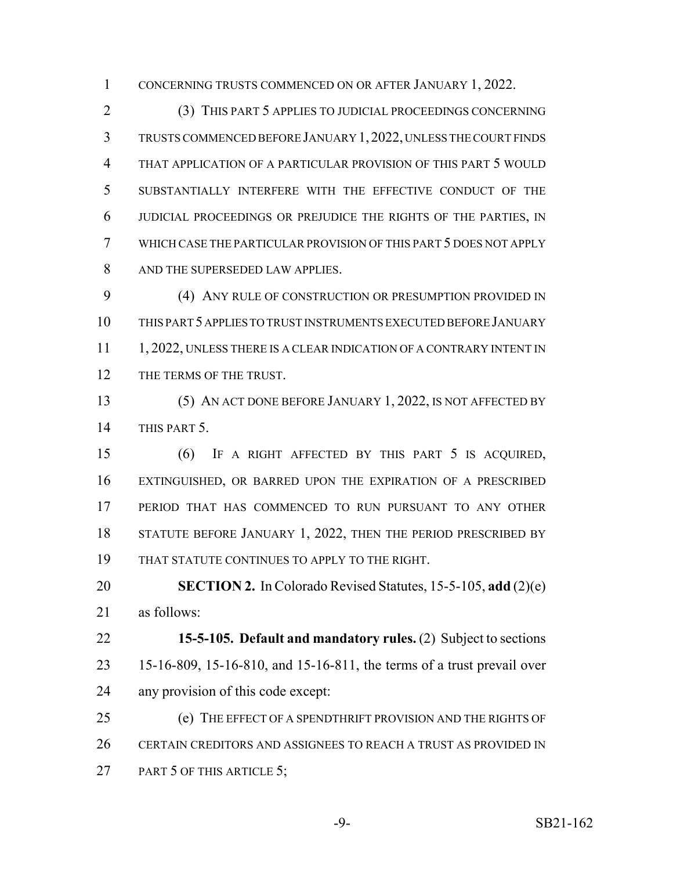CONCERNING TRUSTS COMMENCED ON OR AFTER JANUARY 1, 2022.

 (3) THIS PART 5 APPLIES TO JUDICIAL PROCEEDINGS CONCERNING TRUSTS COMMENCED BEFORE JANUARY 1,2022, UNLESS THE COURT FINDS THAT APPLICATION OF A PARTICULAR PROVISION OF THIS PART 5 WOULD SUBSTANTIALLY INTERFERE WITH THE EFFECTIVE CONDUCT OF THE JUDICIAL PROCEEDINGS OR PREJUDICE THE RIGHTS OF THE PARTIES, IN WHICH CASE THE PARTICULAR PROVISION OF THIS PART 5 DOES NOT APPLY AND THE SUPERSEDED LAW APPLIES.

 (4) ANY RULE OF CONSTRUCTION OR PRESUMPTION PROVIDED IN THIS PART 5 APPLIES TO TRUST INSTRUMENTS EXECUTED BEFORE JANUARY 11 1, 2022, UNLESS THERE IS A CLEAR INDICATION OF A CONTRARY INTENT IN 12 THE TERMS OF THE TRUST.

 (5) AN ACT DONE BEFORE JANUARY 1, 2022, IS NOT AFFECTED BY THIS PART 5.

 (6) IF A RIGHT AFFECTED BY THIS PART 5 IS ACQUIRED, EXTINGUISHED, OR BARRED UPON THE EXPIRATION OF A PRESCRIBED PERIOD THAT HAS COMMENCED TO RUN PURSUANT TO ANY OTHER 18 STATUTE BEFORE JANUARY 1, 2022, THEN THE PERIOD PRESCRIBED BY THAT STATUTE CONTINUES TO APPLY TO THE RIGHT.

 **SECTION 2.** In Colorado Revised Statutes, 15-5-105, **add** (2)(e) as follows:

 **15-5-105. Default and mandatory rules.** (2) Subject to sections 15-16-809, 15-16-810, and 15-16-811, the terms of a trust prevail over any provision of this code except:

25 (e) THE EFFECT OF A SPENDTHRIFT PROVISION AND THE RIGHTS OF CERTAIN CREDITORS AND ASSIGNEES TO REACH A TRUST AS PROVIDED IN 27 PART 5 OF THIS ARTICLE 5;